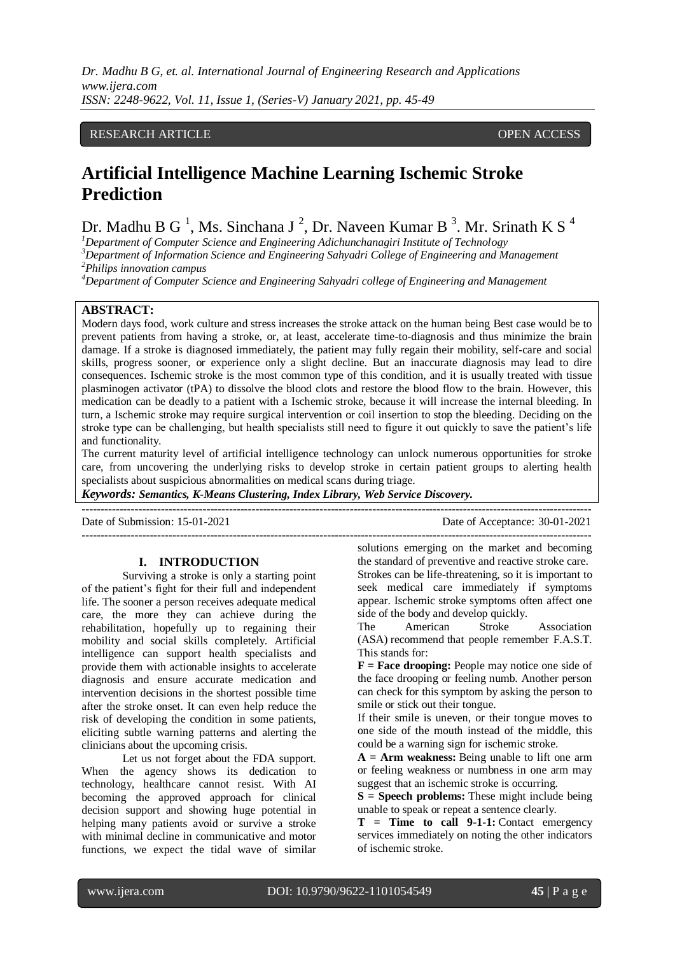*Dr. Madhu B G, et. al. International Journal of Engineering Research and Applications www.ijera.com ISSN: 2248-9622, Vol. 11, Issue 1, (Series-V) January 2021, pp. 45-49*

# RESEARCH ARTICLE **CONTRACT ARTICLE** AND A SERVICE OPEN ACCESS OPEN ACCESS

# **Artificial Intelligence Machine Learning Ischemic Stroke Prediction**

Dr. Madhu B G<sup>1</sup>, Ms. Sinchana J<sup>2</sup>, Dr. Naveen Kumar B<sup>3</sup>. Mr. Srinath K S<sup>4</sup>

*<sup>1</sup>Department of Computer Science and Engineering Adichunchanagiri Institute of Technology*

*<sup>3</sup>Department of Information Science and Engineering Sahyadri College of Engineering and Management <sup>2</sup>Philips innovation campus*

*<sup>4</sup>Department of Computer Science and Engineering Sahyadri college of Engineering and Management*

# **ABSTRACT:**

Modern days food, work culture and stress increases the stroke attack on the human being Best case would be to prevent patients from having a stroke, or, at least, accelerate time-to-diagnosis and thus minimize the brain damage. If a stroke is diagnosed immediately, the patient may fully regain their mobility, self-care and social skills, progress sooner, or experience only a slight decline. But an inaccurate diagnosis may lead to dire consequences. Ischemic stroke is the most common type of this condition, and it is usually treated with tissue plasminogen activator (tPA) to dissolve the blood clots and restore the blood flow to the brain. However, this medication can be deadly to a patient with a Ischemic stroke, because it will increase the internal bleeding. In turn, a Ischemic stroke may require surgical intervention or coil insertion to stop the bleeding. Deciding on the stroke type can be challenging, but health specialists still need to figure it out quickly to save the patient's life and functionality.

The current maturity level of artificial intelligence technology can unlock numerous opportunities for stroke care, from uncovering the underlying risks to develop stroke in certain patient groups to alerting health specialists about suspicious abnormalities on medical scans during triage.

*Keywords: Semantics, K-Means Clustering, Index Library, Web Service Discovery.* ---------------------------------------------------------------------------------------------------------------------------------------

Date of Submission: 15-01-2021 Date of Acceptance: 30-01-2021

#### **I. INTRODUCTION**

Surviving a stroke is only a starting point of the patient's fight for their full and independent life. The sooner a person receives adequate medical care, the more they can achieve during the rehabilitation, hopefully up to regaining their mobility and social skills completely. Artificial intelligence can support health specialists and provide them with actionable insights to accelerate diagnosis and ensure accurate medication and intervention decisions in the shortest possible time after the stroke onset. It can even help reduce the risk of developing the condition in some patients, eliciting subtle warning patterns and alerting the clinicians about the upcoming crisis.

Let us not forget about the FDA support. When the agency shows its dedication to technology, healthcare cannot resist. With AI becoming the approved approach for clinical decision support and showing huge potential in helping many patients avoid or survive a stroke with minimal decline in communicative and motor functions, we expect the tidal wave of similar

solutions emerging on the market and becoming the standard of preventive and reactive stroke care. Strokes can be life-threatening, so it is important to seek medical care immediately if symptoms

---------------------------------------------------------------------------------------------------------------------------------------

appear. Ischemic stroke symptoms often affect one side of the body and develop quickly. The American Stroke Association (ASA) [recommend](https://www.strokeassociation.org/en/about-stroke/stroke-symptoms) that people remember F.A.S.T. This stands for:

**F = Face drooping:** People may notice one side of the face drooping or feeling numb. Another person can check for this symptom by asking the person to smile or stick out their tongue.

If their smile is uneven, or their tongue moves to one side of the mouth instead of the middle, this could be a warning sign for ischemic stroke.

**A = Arm weakness:** Being unable to lift one arm or feeling weakness or numbness in one arm may suggest that an ischemic stroke is occurring.

**S = Speech problems:** These might include being unable to speak or repeat a sentence clearly.

**T = Time to call 9-1-1:** Contact emergency services immediately on noting the other indicators of ischemic stroke.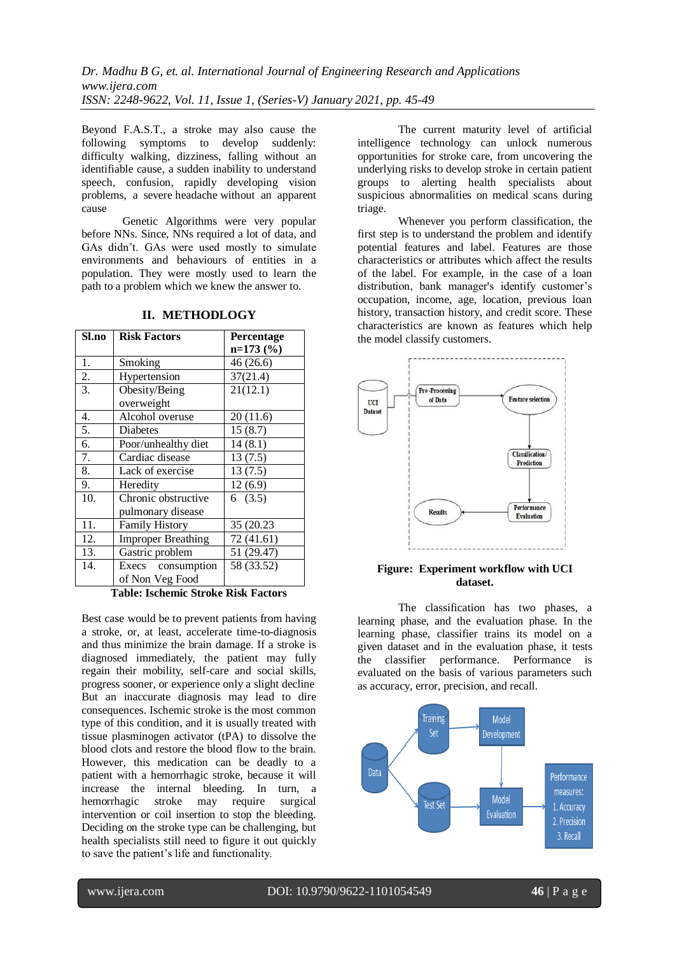Beyond F.A.S.T., a stroke may also cause the following symptoms to develop suddenly: difficulty walking, dizziness, falling without an identifiable cause, a sudden inability to understand speech, confusion, rapidly developing vision problems, a severe [headache](https://www.medicalnewstoday.com/articles/73936.php) without an apparent cause

Genetic Algorithms were very popular before NNs. Since, NNs required a lot of data, and GAs didn't. GAs were used mostly to simulate environments and behaviours of entities in a population. They were mostly used to learn the path to a problem which we knew the answer to.

| Sl.no            | <b>Risk Factors</b>       | Percentage |
|------------------|---------------------------|------------|
|                  |                           | $n=173(%)$ |
| 1.               | Smoking                   | 46 (26.6)  |
| 2.               | Hypertension              | 37(21.4)   |
| $\overline{3}$ . | Obesity/Being             | 21(12.1)   |
|                  | overweight                |            |
| 4.               | Alcohol overuse           | 20(11.6)   |
| 5.               | Diabetes                  | 15(8.7)    |
| 6.               | Poor/unhealthy diet       | 14(8.1)    |
| 7.               | Cardiac disease           | 13(7.5)    |
| 8.               | Lack of exercise          | 13(7.5)    |
| 9.               | Heredity                  | 12(6.9)    |
| 10.              | Chronic obstructive       | 6(3.5)     |
|                  | pulmonary disease         |            |
| 11.              | <b>Family History</b>     | 35 (20.23  |
| 12.              | <b>Improper Breathing</b> | 72 (41.61) |
| 13.              | Gastric problem           | 51 (29.47) |
| 14.              | Execs consumption         | 58 (33.52) |
|                  | of Non Veg Food           |            |

**II. METHODLOGY**

**Table: Ischemic Stroke Risk Factors**

Best case would be to prevent patients from having a stroke, or, at least, accelerate time-to-diagnosis and thus minimize the brain damage. If a stroke is diagnosed immediately, the patient may fully regain their mobility, self-care and social skills, progress sooner, or experience only a slight decline But an inaccurate diagnosis may lead to dire consequences. Ischemic stroke is the most common type of this condition, and it is usually treated with tissue plasminogen activator (tPA) to dissolve the blood clots and restore the blood flow to the brain. However, this medication can be deadly to a patient with a hemorrhagic stroke, because it will increase the internal bleeding. In turn, a hemorrhagic stroke may require surgical intervention or coil insertion to stop the bleeding. Deciding on the stroke type can be challenging, but health specialists still need to figure it out quickly to save the patient's life and functionality.

The current maturity level of artificial intelligence technology can unlock numerous opportunities for stroke care, from uncovering the underlying risks to develop stroke in certain patient groups to alerting health specialists about suspicious abnormalities on medical scans during triage.

Whenever you perform classification, the first step is to understand the problem and identify potential features and label. Features are those characteristics or attributes which affect the results of the label. For example, in the case of a loan distribution, bank manager's identify customer's occupation, income, age, location, previous loan history, transaction history, and credit score. These characteristics are known as features which help the model classify customers.



## **Figure: Experiment workflow with UCI dataset.**

The classification has two phases, a learning phase, and the evaluation phase. In the learning phase, classifier trains its model on a given dataset and in the evaluation phase, it tests the classifier performance. Performance is evaluated on the basis of various parameters such as accuracy, error, precision, and recall.

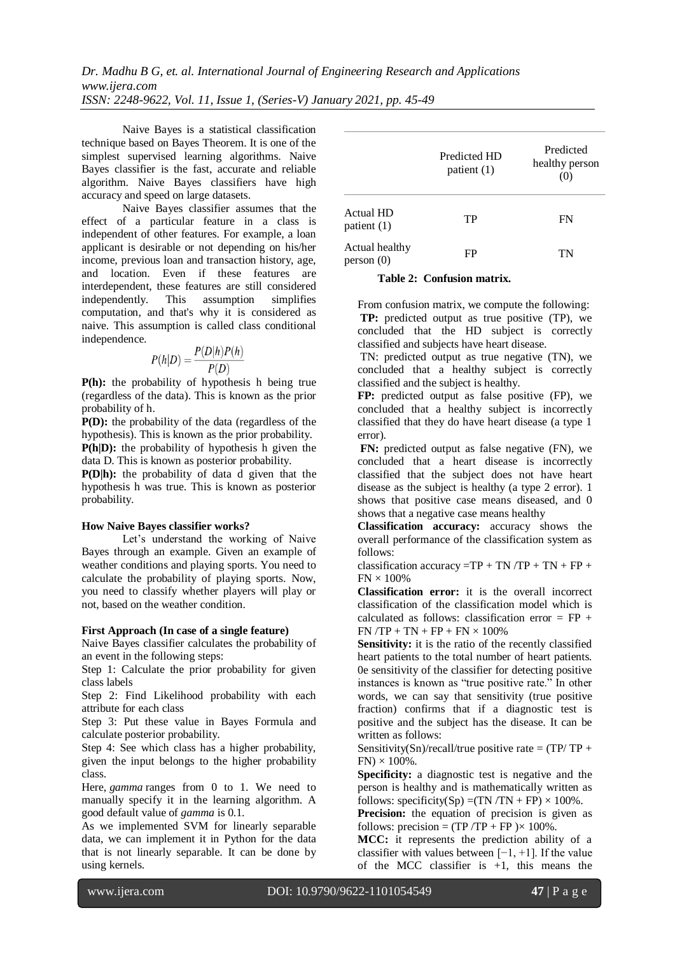*Dr. Madhu B G, et. al. International Journal of Engineering Research and Applications www.ijera.com ISSN: 2248-9622, Vol. 11, Issue 1, (Series-V) January 2021, pp. 45-49*

Naive Bayes is a statistical classification technique based on Bayes Theorem. It is one of the simplest supervised learning algorithms. Naive Bayes classifier is the fast, accurate and reliable algorithm. Naive Bayes classifiers have high accuracy and speed on large datasets.

Naive Bayes classifier assumes that the effect of a particular feature in a class is independent of other features. For example, a loan applicant is desirable or not depending on his/her income, previous loan and transaction history, age, and location. Even if these features are interdependent, these features are still considered independently. This assumption simplifies computation, and that's why it is considered as naive. This assumption is called class conditional independence.

$$
P(h|D) = \frac{P(D|h)P(h)}{P(D)}
$$

**P(h):** the probability of hypothesis h being true (regardless of the data). This is known as the prior probability of h.

**P(D):** the probability of the data (regardless of the hypothesis). This is known as the prior probability. **P(h|D):** the probability of hypothesis h given the data D. This is known as posterior probability.

**P(D|h):** the probability of data d given that the hypothesis h was true. This is known as posterior probability.

#### **How Naive Bayes classifier works?**

Let's understand the working of Naive Bayes through an example. Given an example of weather conditions and playing sports. You need to calculate the probability of playing sports. Now, you need to classify whether players will play or not, based on the weather condition.

## **First Approach (In case of a single feature)**

Naive Bayes classifier calculates the probability of an event in the following steps:

Step 1: Calculate the prior probability for given class labels

Step 2: Find Likelihood probability with each attribute for each class

Step 3: Put these value in Bayes Formula and calculate posterior probability.

Step 4: See which class has a higher probability, given the input belongs to the higher probability class.

Here, *gamma* ranges from 0 to 1. We need to manually specify it in the learning algorithm. A good default value of *gamma* is 0.1.

As we implemented SVM for linearly separable data, we can implement it in Python for the data that is not linearly separable. It can be done by using kernels.

|                                 | Predicted HD<br>patient $(1)$ | Predicted<br>healthy person<br>(0) |
|---------------------------------|-------------------------------|------------------------------------|
| <b>Actual HD</b><br>patient (1) | TP                            | FN                                 |
| Actual healthy<br>person(0)     | FP                            | TN                                 |

#### **Table 2: Confusion matrix.**

From confusion matrix, we compute the following: **TP:** predicted output as true positive (TP), we concluded that the HD subject is correctly classified and subjects have heart disease.

TN: predicted output as true negative (TN), we concluded that a healthy subject is correctly classified and the subject is healthy.

**FP:** predicted output as false positive (FP), we concluded that a healthy subject is incorrectly classified that they do have heart disease (a type 1 error).

**FN:** predicted output as false negative (FN), we concluded that a heart disease is incorrectly classified that the subject does not have heart disease as the subject is healthy (a type 2 error). 1 shows that positive case means diseased, and 0 shows that a negative case means healthy

**Classification accuracy:** accuracy shows the overall performance of the classification system as follows:

classification accuracy =TP + TN  $/TP + TN + FP +$  $FN \times 100\%$ 

**Classification error:** it is the overall incorrect classification of the classification model which is calculated as follows: classification error  $=$  FP  $+$  $FN$ / $TP + TN + FP + FN \times 100\%$ 

**Sensitivity:** it is the ratio of the recently classified heart patients to the total number of heart patients. 0e sensitivity of the classifier for detecting positive instances is known as "true positive rate." In other words, we can say that sensitivity (true positive fraction) confirms that if a diagnostic test is positive and the subject has the disease. It can be written as follows:

Sensitivity(Sn)/recall/true positive rate =  $(TP/TP +$  $FN$ )  $\times$  100%.

**Specificity:** a diagnostic test is negative and the person is healthy and is mathematically written as follows: specificity(Sp) =(TN /TN + FP)  $\times$  100%.

**Precision:** the equation of precision is given as follows: precision =  $(TP/TP + FP) \times 100\%$ .

**MCC:** it represents the prediction ability of a classifier with values between  $[-1, +1]$ . If the value of the MCC classifier is  $+1$ , this means the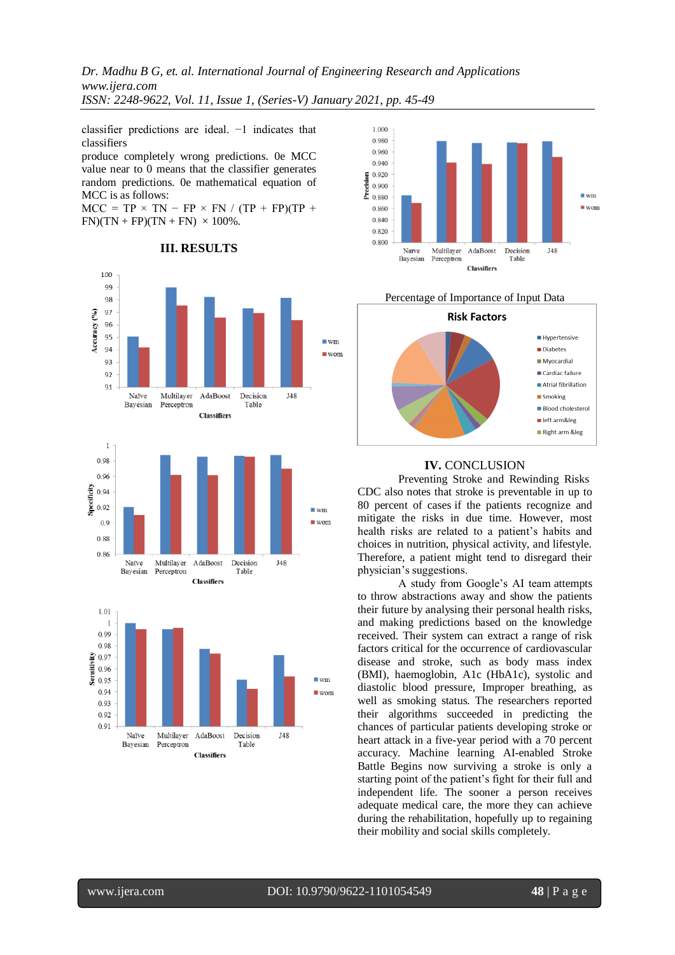*Dr. Madhu B G, et. al. International Journal of Engineering Research and Applications www.ijera.com ISSN: 2248-9622, Vol. 11, Issue 1, (Series-V) January 2021, pp. 45-49*

classifier predictions are ideal. −1 indicates that classifiers

produce completely wrong predictions. 0e MCC value near to 0 means that the classifier generates random predictions. 0e mathematical equation of MCC is as follows:

 $MCC = TP \times TN - FP \times FN / (TP + FP)(TP +$  $FN$ )(TN + FP)(TN + FN)  $\times$  100%.













# **IV.** CONCLUSION

Preventing Stroke and Rewinding Risks [CDC also notes that stroke is preventable in up to](https://www.cdc.gov/stroke/facts.htm)  [80 percent of cases](https://www.cdc.gov/stroke/facts.htm) if the patients recognize and mitigate the risks in due time. However, most health risks are related to a patient's habits and choices in nutrition, physical activity, and lifestyle. Therefore, a patient might tend to disregard their physician's suggestions.

[A study from Google's AI team](https://www.nature.com/articles/s41551-018-0195-0) attempts to throw abstractions away and show the patients their future by analysing their personal health risks, and making predictions based on the knowledge received. Their system can extract a range of risk factors critical for the occurrence of cardiovascular disease and stroke, such as body mass index (BMI), haemoglobin, A1c (HbA1c), systolic and diastolic blood pressure, Improper breathing, as well as smoking status. The researchers reported their algorithms succeeded in predicting the chances of particular patients developing stroke or heart attack in a five-year period with a 70 percent accuracy. Machine learning AI-enabled Stroke Battle Begins now surviving a stroke is only a starting point of the patient's fight for their full and independent life. The sooner a person receives adequate medical care, the more they can achieve during the rehabilitation, hopefully up to regaining their mobility and social skills completely.